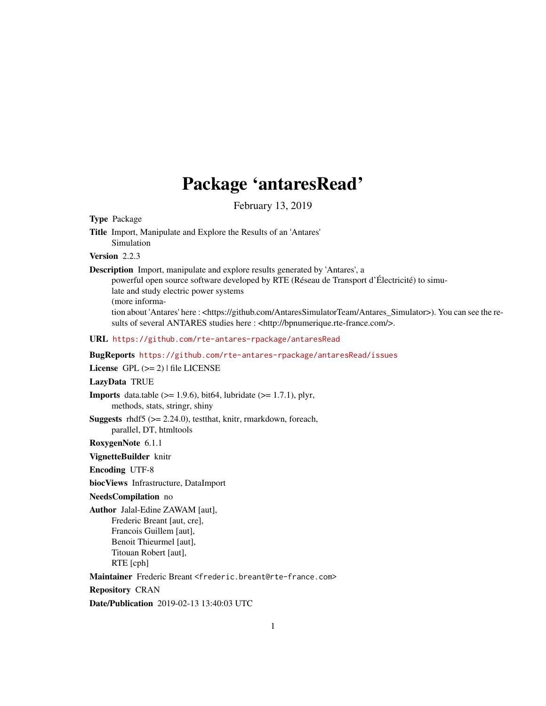## Package 'antaresRead'

February 13, 2019

## <span id="page-0-0"></span>Type Package

Title Import, Manipulate and Explore the Results of an 'Antares' Simulation

## Version 2.2.3

Description Import, manipulate and explore results generated by 'Antares', a

powerful open source software developed by RTE (Réseau de Transport d'Électricité) to simulate and study electric power systems (more information about 'Antares' here : <https://github.com/AntaresSimulatorTeam/Antares\_Simulator>). You can see the results of several ANTARES studies here : <http://bpnumerique.rte-france.com/>.

URL <https://github.com/rte-antares-rpackage/antaresRead>

BugReports <https://github.com/rte-antares-rpackage/antaresRead/issues>

## License GPL  $(>= 2)$  | file LICENSE

## LazyData TRUE

**Imports** data.table  $(>= 1.9.6)$ , bit64, lubridate  $(>= 1.7.1)$ , plyr, methods, stats, stringr, shiny

**Suggests** rhdf5  $(>= 2.24.0)$ , testthat, knitr, rmarkdown, foreach, parallel, DT, htmltools

RoxygenNote 6.1.1

#### VignetteBuilder knitr

Encoding UTF-8

biocViews Infrastructure, DataImport

#### NeedsCompilation no

Author Jalal-Edine ZAWAM [aut], Frederic Breant [aut, cre], Francois Guillem [aut], Benoit Thieurmel [aut], Titouan Robert [aut], RTE [cph]

Maintainer Frederic Breant <frederic.breant@rte-france.com>

Repository CRAN

Date/Publication 2019-02-13 13:40:03 UTC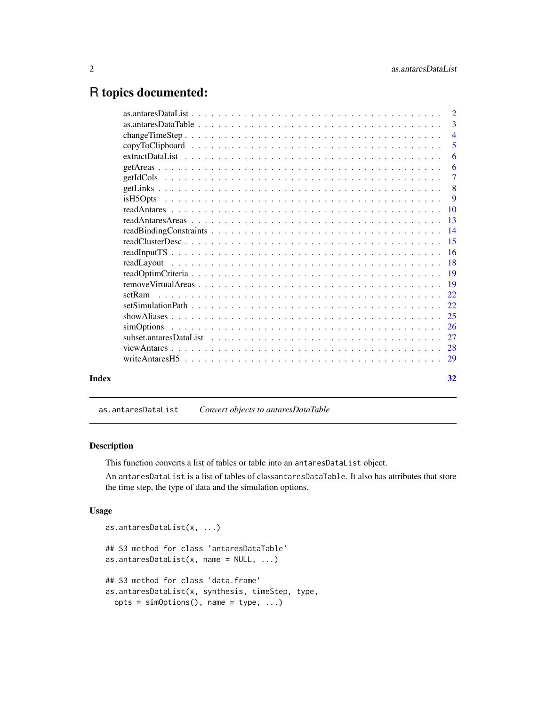## <span id="page-1-0"></span>R topics documented:

|       |            | 2              |
|-------|------------|----------------|
|       |            | 3              |
|       |            | $\overline{4}$ |
|       |            | 5              |
|       |            | 6              |
|       |            | 6              |
|       |            | $\tau$         |
|       |            | -8             |
|       |            | 9              |
|       |            | 10             |
|       |            | 13             |
|       |            | 14             |
|       |            | 15             |
|       |            | 16             |
|       |            | -18            |
|       |            |                |
|       |            | -19            |
|       |            | 22             |
|       |            | 22.            |
|       |            | 25             |
|       | simOptions | 26             |
|       |            | 27             |
|       |            |                |
|       |            | 29             |
| Index |            | 32             |

as.antaresDataList *Convert objects to antaresDataTable*

## Description

This function converts a list of tables or table into an antaresDataList object.

An antaresDataList is a list of tables of classantaresDataTable. It also has attributes that store the time step, the type of data and the simulation options.

## Usage

```
as.antaresDataList(x, ...)
## S3 method for class 'antaresDataTable'
as.antaresDataList(x, \text{ name} = \text{NULL}, \ldots)## S3 method for class 'data.frame'
as.antaresDataList(x, synthesis, timeStep, type,
  opts = simOptions(), name = type, ...)
```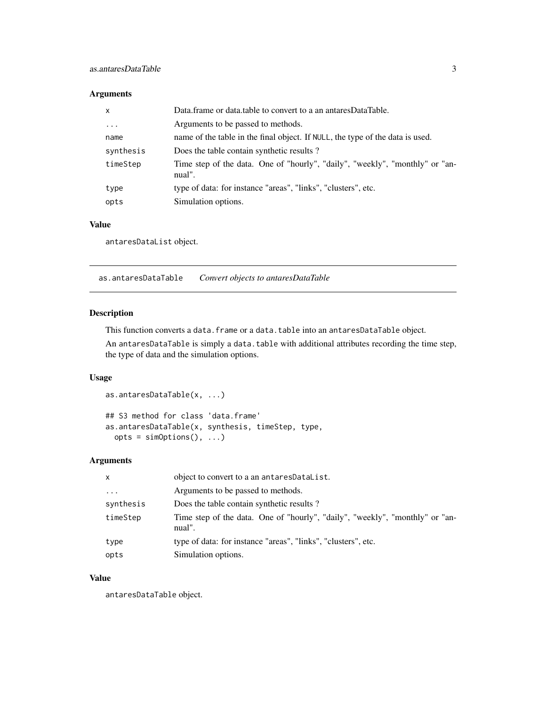## <span id="page-2-0"></span>Arguments

| $\boldsymbol{\mathsf{x}}$ | Data frame or data table to convert to a an antares Data Table.                        |
|---------------------------|----------------------------------------------------------------------------------------|
| $\cdots$                  | Arguments to be passed to methods.                                                     |
| name                      | name of the table in the final object. If NULL, the type of the data is used.          |
| synthesis                 | Does the table contain synthetic results?                                              |
| timeStep                  | Time step of the data. One of "hourly", "daily", "weekly", "monthly" or "an-<br>nual". |
| type                      | type of data: for instance "areas", "links", "clusters", etc.                          |
| opts                      | Simulation options.                                                                    |

## Value

antaresDataList object.

as.antaresDataTable *Convert objects to antaresDataTable*

## Description

This function converts a data. frame or a data.table into an antaresDataTable object.

An antaresDataTable is simply a data.table with additional attributes recording the time step, the type of data and the simulation options.

## Usage

```
as.antaresDataTable(x, ...)
## S3 method for class 'data.frame'
as.antaresDataTable(x, synthesis, timeStep, type,
 opts = simOptions(), ...)
```
## Arguments

| $\mathsf{x}$ | object to convert to a an antaresDataList.                                             |
|--------------|----------------------------------------------------------------------------------------|
| $\cdots$     | Arguments to be passed to methods.                                                     |
| synthesis    | Does the table contain synthetic results?                                              |
| timeStep     | Time step of the data. One of "hourly", "daily", "weekly", "monthly" or "an-<br>nual". |
| type         | type of data: for instance "areas", "links", "clusters", etc.                          |
| opts         | Simulation options.                                                                    |

## Value

antaresDataTable object.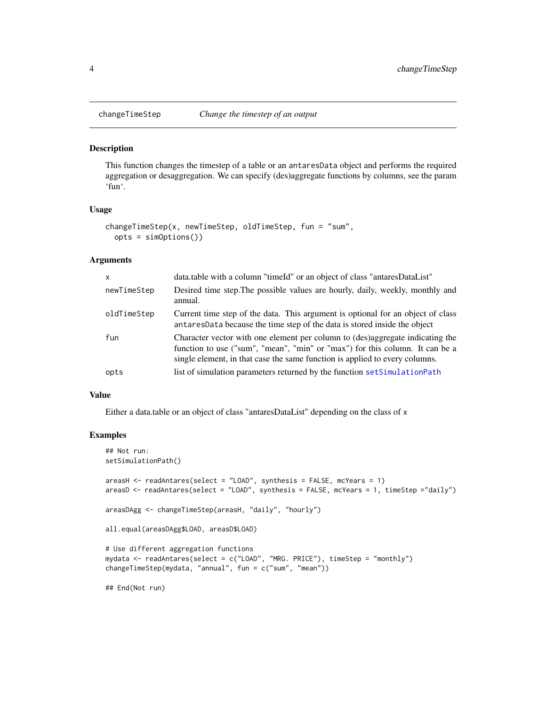<span id="page-3-0"></span>

This function changes the timestep of a table or an antaresData object and performs the required aggregation or desaggregation. We can specify (des)aggregate functions by columns, see the param 'fun'.

#### Usage

```
changeTimeStep(x, newTimeStep, oldTimeStep, fun = "sum",
 opts = simOptions())
```
## Arguments

| $\mathsf{x}$ | data.table with a column "timeId" or an object of class "antaresDataList"                                                                                                                                                                    |
|--------------|----------------------------------------------------------------------------------------------------------------------------------------------------------------------------------------------------------------------------------------------|
| newTimeStep  | Desired time step. The possible values are hourly, daily, weekly, monthly and<br>annual.                                                                                                                                                     |
| oldTimeStep  | Current time step of the data. This argument is optional for an object of class<br>antaresData because the time step of the data is stored inside the object                                                                                 |
| fun          | Character vector with one element per column to (des)aggregate indicating the<br>function to use ("sum", "mean", "min" or "max") for this column. It can be a<br>single element, in that case the same function is applied to every columns. |
| opts         | list of simulation parameters returned by the function set Simulation Path                                                                                                                                                                   |

#### Value

Either a data.table or an object of class "antaresDataList" depending on the class of x

#### Examples

```
## Not run:
setSimulationPath()
areasH <- readAntares(select = "LOAD", synthesis = FALSE, mcYears = 1)
areasD <- readAntares(select = "LOAD", synthesis = FALSE, mcYears = 1, timeStep ="daily")
areasDAgg <- changeTimeStep(areasH, "daily", "hourly")
all.equal(areasDAgg$LOAD, areasD$LOAD)
# Use different aggregation functions
mydata <- readAntares(select = c("LOAD", "MRG. PRICE"), timeStep = "monthly")
changeTimeStep(mydata, "annual", fun = c("sum", "mean"))
## End(Not run)
```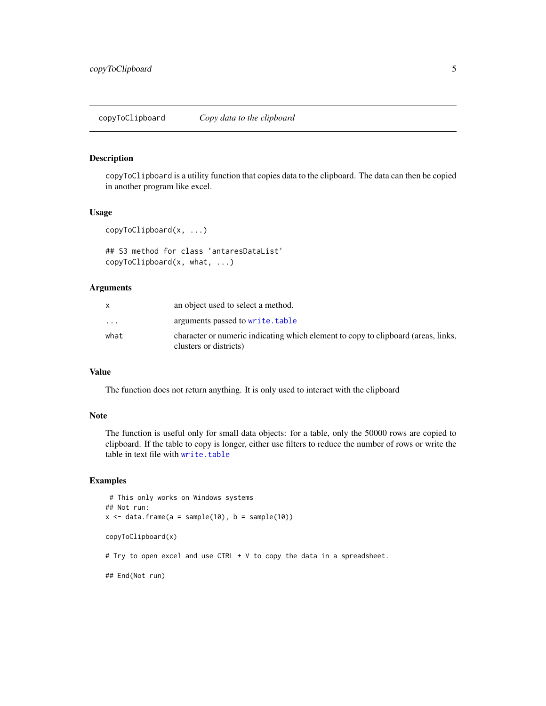<span id="page-4-0"></span>copyToClipboard is a utility function that copies data to the clipboard. The data can then be copied in another program like excel.

## Usage

```
copyToClipboard(x, ...)
```

```
## S3 method for class 'antaresDataList'
copyToClipboard(x, what, ...)
```
#### Arguments

|                         | an object used to select a method.                                                                          |
|-------------------------|-------------------------------------------------------------------------------------------------------------|
| $\cdot$ $\cdot$ $\cdot$ | arguments passed to write, table                                                                            |
| what                    | character or numeric indicating which element to copy to clipboard (areas, links,<br>clusters or districts) |

## Value

The function does not return anything. It is only used to interact with the clipboard

#### Note

The function is useful only for small data objects: for a table, only the 50000 rows are copied to clipboard. If the table to copy is longer, either use filters to reduce the number of rows or write the table in text file with [write.table](#page-0-0)

## Examples

```
# This only works on Windows systems
## Not run:
x \le - data.frame(a = sample(10), b = sample(10))
copyToClipboard(x)
# Try to open excel and use CTRL + V to copy the data in a spreadsheet.
## End(Not run)
```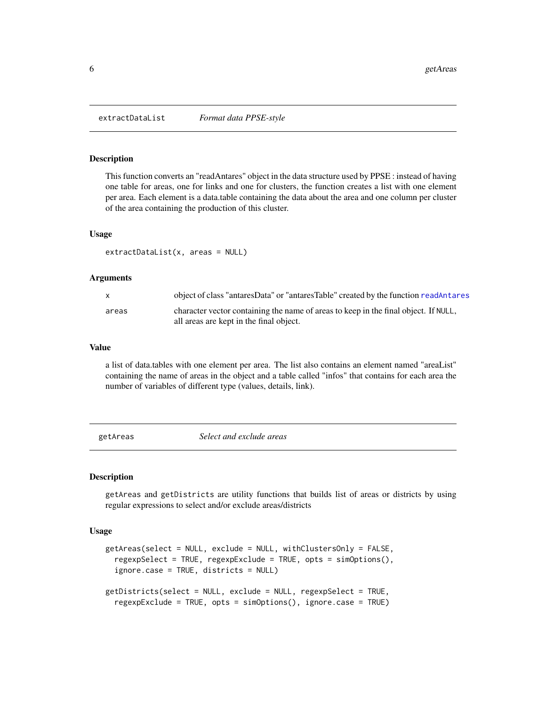<span id="page-5-0"></span>

This function converts an "readAntares" object in the data structure used by PPSE : instead of having one table for areas, one for links and one for clusters, the function creates a list with one element per area. Each element is a data.table containing the data about the area and one column per cluster of the area containing the production of this cluster.

## Usage

extractDataList(x, areas = NULL)

#### Arguments

| $\mathsf{x}$ | object of class "antaresData" or "antaresTable" created by the function readAntares                                            |
|--------------|--------------------------------------------------------------------------------------------------------------------------------|
| areas        | character vector containing the name of areas to keep in the final object. If NULL,<br>all areas are kept in the final object. |

#### Value

a list of data.tables with one element per area. The list also contains an element named "areaList" containing the name of areas in the object and a table called "infos" that contains for each area the number of variables of different type (values, details, link).

<span id="page-5-1"></span>getAreas *Select and exclude areas*

#### <span id="page-5-2"></span>Description

getAreas and getDistricts are utility functions that builds list of areas or districts by using regular expressions to select and/or exclude areas/districts

#### Usage

```
getAreas(select = NULL, exclude = NULL, withClustersOnly = FALSE,
  regexpSelect = TRUE, regexpExclude = TRUE, opts = simOptions(),
  ignore.case = TRUE, districts = NULL)
getDistricts(select = NULL, exclude = NULL, regexpSelect = TRUE,
  regexpExclude = TRUE, opts = simOptions(), ignore.case = TRUE)
```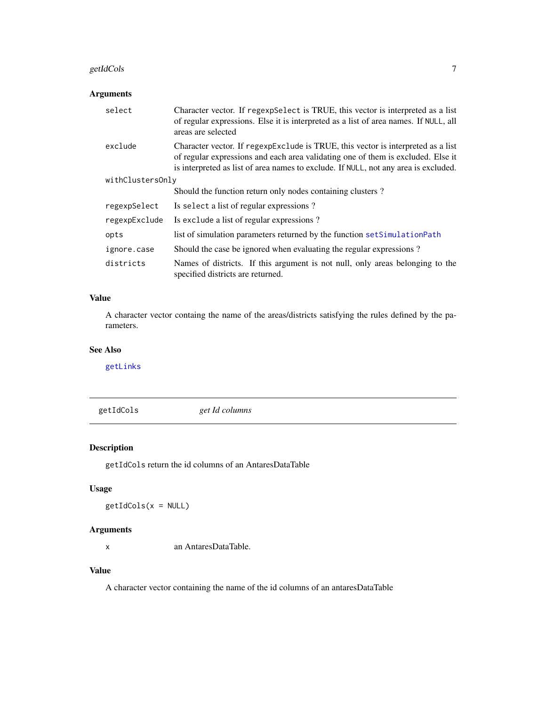#### <span id="page-6-0"></span>getIdCols **7**

## Arguments

| select           | Character vector. If regexpSelect is TRUE, this vector is interpreted as a list<br>of regular expressions. Else it is interpreted as a list of area names. If NULL, all<br>areas are selected                                                               |
|------------------|-------------------------------------------------------------------------------------------------------------------------------------------------------------------------------------------------------------------------------------------------------------|
| exclude          | Character vector. If regexpexclude is TRUE, this vector is interpreted as a list<br>of regular expressions and each area validating one of them is excluded. Else it<br>is interpreted as list of area names to exclude. If NULL, not any area is excluded. |
| withClustersOnly |                                                                                                                                                                                                                                                             |
|                  | Should the function return only nodes containing clusters?                                                                                                                                                                                                  |
| regexpSelect     | Is select a list of regular expressions?                                                                                                                                                                                                                    |
| regexpExclude    | Is exclude a list of regular expressions?                                                                                                                                                                                                                   |
| opts             | list of simulation parameters returned by the function setSimulationPath                                                                                                                                                                                    |
| ignore.case      | Should the case be ignored when evaluating the regular expressions?                                                                                                                                                                                         |
| districts        | Names of districts. If this argument is not null, only areas belonging to the<br>specified districts are returned.                                                                                                                                          |

## Value

A character vector containg the name of the areas/districts satisfying the rules defined by the parameters.

## See Also

[getLinks](#page-7-1)

getIdCols *get Id columns*

## Description

getIdCols return the id columns of an AntaresDataTable

## Usage

getIdCols(x = NULL)

## Arguments

x an AntaresDataTable.

## Value

A character vector containing the name of the id columns of an antaresDataTable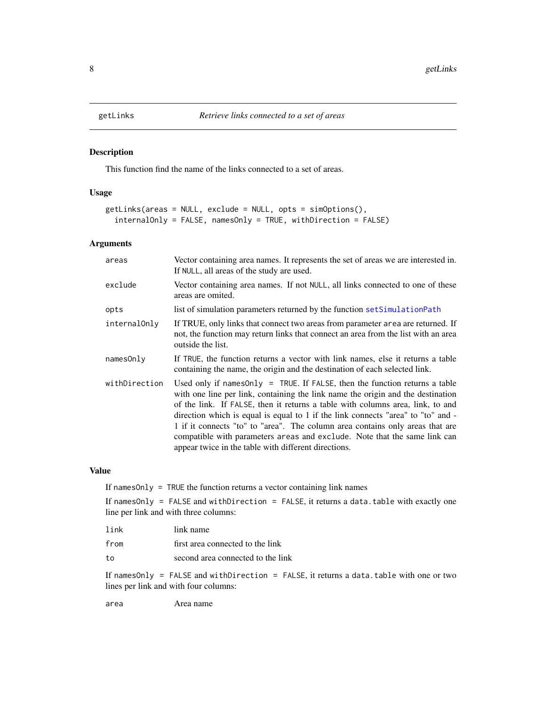<span id="page-7-1"></span><span id="page-7-0"></span>

This function find the name of the links connected to a set of areas.

## Usage

```
getLinks(areas = NULL, exclude = NULL, opts = simOptions(),
  internalOnly = FALSE, namesOnly = TRUE, withDirection = FALSE)
```
## Arguments

| areas         | Vector containing area names. It represents the set of areas we are interested in.<br>If NULL, all areas of the study are used.                                                                                                                                                                                                                                                                                                                                                                                                                              |
|---------------|--------------------------------------------------------------------------------------------------------------------------------------------------------------------------------------------------------------------------------------------------------------------------------------------------------------------------------------------------------------------------------------------------------------------------------------------------------------------------------------------------------------------------------------------------------------|
| exclude       | Vector containing area names. If not NULL, all links connected to one of these<br>areas are omited.                                                                                                                                                                                                                                                                                                                                                                                                                                                          |
| opts          | list of simulation parameters returned by the function set Simulation Path                                                                                                                                                                                                                                                                                                                                                                                                                                                                                   |
| internalOnly  | If TRUE, only links that connect two areas from parameter area are returned. If<br>not, the function may return links that connect an area from the list with an area<br>outside the list.                                                                                                                                                                                                                                                                                                                                                                   |
| namesOnly     | If TRUE, the function returns a vector with link names, else it returns a table<br>containing the name, the origin and the destination of each selected link.                                                                                                                                                                                                                                                                                                                                                                                                |
| withDirection | Used only if names Only $=$ TRUE. If FALSE, then the function returns a table<br>with one line per link, containing the link name the origin and the destination<br>of the link. If FALSE, then it returns a table with columns area, link, to and<br>direction which is equal is equal to 1 if the link connects "area" to "to" and -<br>1 if it connects "to" to "area". The column area contains only areas that are<br>compatible with parameters areas and exclude. Note that the same link can<br>appear twice in the table with different directions. |

#### Value

If namesOnly = TRUE the function returns a vector containing link names

If namesOnly = FALSE and withDirection = FALSE, it returns a data.table with exactly one line per link and with three columns:

| link | link name                         |
|------|-----------------------------------|
| from | first area connected to the link  |
| to   | second area connected to the link |

If namesOnly = FALSE and withDirection = FALSE, it returns a data.table with one or two lines per link and with four columns:

area Area name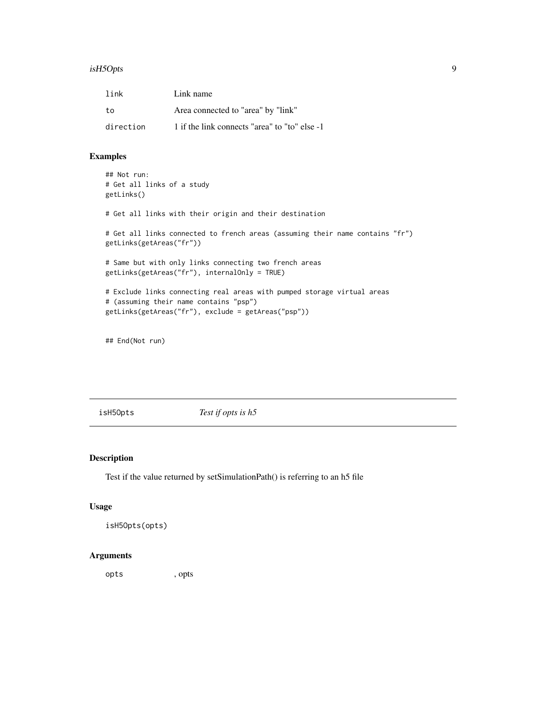#### <span id="page-8-0"></span>isH5Opts 9

| link      | Link name                                     |
|-----------|-----------------------------------------------|
| to        | Area connected to "area" by "link"            |
| direction | 1 if the link connects "area" to "to" else -1 |

## Examples

```
## Not run:
# Get all links of a study
getLinks()
# Get all links with their origin and their destination
# Get all links connected to french areas (assuming their name contains "fr")
getLinks(getAreas("fr"))
# Same but with only links connecting two french areas
getLinks(getAreas("fr"), internalOnly = TRUE)
# Exclude links connecting real areas with pumped storage virtual areas
# (assuming their name contains "psp")
getLinks(getAreas("fr"), exclude = getAreas("psp"))
```
## End(Not run)

isH5Opts *Test if opts is h5*

## Description

Test if the value returned by setSimulationPath() is referring to an h5 file

## Usage

isH5Opts(opts)

## Arguments

opts , opts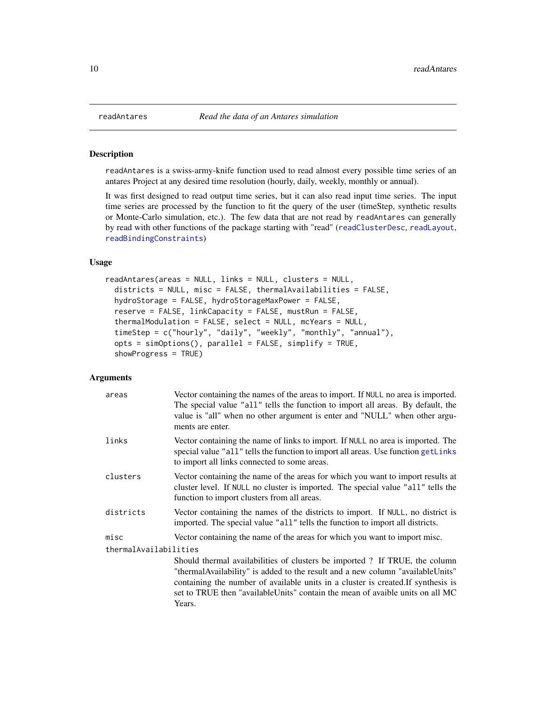readAntares is a swiss-army-knife function used to read almost every possible time series of an antares Project at any desired time resolution (hourly, daily, weekly, monthly or annual).

It was first designed to read output time series, but it can also read input time series. The input time series are processed by the function to fit the query of the user (timeStep, synthetic results or Monte-Carlo simulation, etc.). The few data that are not read by readAntares can generally by read with other functions of the package starting with "read" ([readClusterDesc](#page-14-1), [readLayout](#page-17-1), [readBindingConstraints](#page-13-1))

#### Usage

```
readAntares(areas = NULL, links = NULL, clusters = NULL,
  districts = NULL, misc = FALSE, thermalAvailabilities = FALSE,
  hydroStorage = FALSE, hydroStorageMaxPower = FALSE,
  reserve = FALSE, linkCapacity = FALSE, mustRun = FALSE,
  thermalModulation = FALSE, select = NULL, mcYears = NULL,
  timeStep = c("hourly", "daily", "weekly", "monthly", "annual"),
  opts = simOptions(), parallel = FALSE, simplify = TRUE,
  showProgress = TRUE)
```
## Arguments

| areas                 | Vector containing the names of the areas to import. If NULL no area is imported.<br>The special value "all" tells the function to import all areas. By default, the<br>value is "all" when no other argument is enter and "NULL" when other argu-<br>ments are enter.                                                                          |
|-----------------------|------------------------------------------------------------------------------------------------------------------------------------------------------------------------------------------------------------------------------------------------------------------------------------------------------------------------------------------------|
| links                 | Vector containing the name of links to import. If NULL no area is imported. The<br>special value "all" tells the function to import all areas. Use function getLinks<br>to import all links connected to some areas.                                                                                                                           |
| clusters              | Vector containing the name of the areas for which you want to import results at<br>cluster level. If NULL no cluster is imported. The special value "all" tells the<br>function to import clusters from all areas.                                                                                                                             |
| districts             | Vector containing the names of the districts to import. If NULL, no district is<br>imported. The special value "all" tells the function to import all districts.                                                                                                                                                                               |
| misc                  | Vector containing the name of the areas for which you want to import misc.                                                                                                                                                                                                                                                                     |
| thermalAvailabilities |                                                                                                                                                                                                                                                                                                                                                |
|                       | Should thermal availabilities of clusters be imported? If TRUE, the column<br>"thermal Availability" is added to the result and a new column "available Units"<br>containing the number of available units in a cluster is created. If synthesis is<br>set to TRUE then "availableUnits" contain the mean of avaible units on all MC<br>Years. |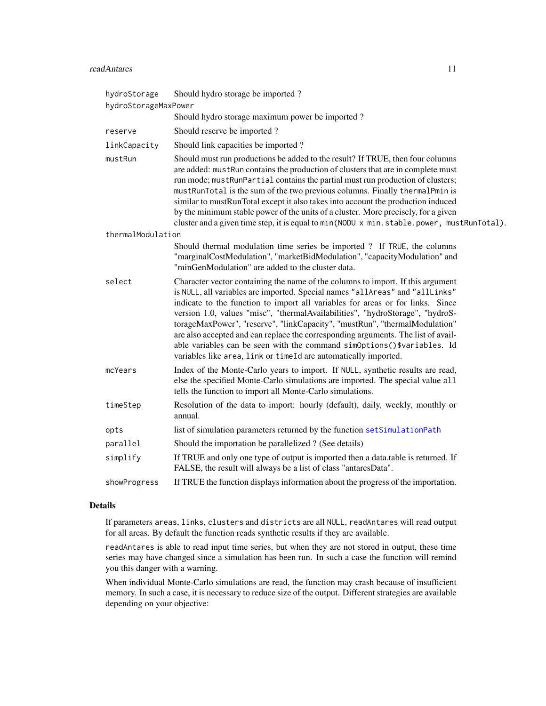#### <span id="page-10-0"></span>readAntares 11

| hydroStorage<br>hydroStorageMaxPower | Should hydro storage be imported?                                                                                                                                                                                                                                                                                                                                                                                                                                                                                                                                                                                                                   |
|--------------------------------------|-----------------------------------------------------------------------------------------------------------------------------------------------------------------------------------------------------------------------------------------------------------------------------------------------------------------------------------------------------------------------------------------------------------------------------------------------------------------------------------------------------------------------------------------------------------------------------------------------------------------------------------------------------|
|                                      | Should hydro storage maximum power be imported?                                                                                                                                                                                                                                                                                                                                                                                                                                                                                                                                                                                                     |
| reserve                              | Should reserve be imported?                                                                                                                                                                                                                                                                                                                                                                                                                                                                                                                                                                                                                         |
| linkCapacity                         | Should link capacities be imported?                                                                                                                                                                                                                                                                                                                                                                                                                                                                                                                                                                                                                 |
| mustRun                              | Should must run productions be added to the result? If TRUE, then four columns<br>are added: mustRun contains the production of clusters that are in complete must<br>run mode; mustRunPartial contains the partial must run production of clusters;<br>mustRunTotal is the sum of the two previous columns. Finally thermalPmin is<br>similar to mustRunTotal except it also takes into account the production induced<br>by the minimum stable power of the units of a cluster. More precisely, for a given<br>cluster and a given time step, it is equal to min (NODU x min. stable. power, mustRunTotal).                                       |
| thermalModulation                    |                                                                                                                                                                                                                                                                                                                                                                                                                                                                                                                                                                                                                                                     |
|                                      | Should thermal modulation time series be imported ? If TRUE, the columns<br>"marginalCostModulation", "marketBidModulation", "capacityModulation" and<br>"minGenModulation" are added to the cluster data.                                                                                                                                                                                                                                                                                                                                                                                                                                          |
| select                               | Character vector containing the name of the columns to import. If this argument<br>is NULL, all variables are imported. Special names "allAreas" and "allLinks"<br>indicate to the function to import all variables for areas or for links. Since<br>version 1.0, values "misc", "thermalAvailabilities", "hydroStorage", "hydroS-<br>torageMaxPower", "reserve", "linkCapacity", "mustRun", "thermalModulation"<br>are also accepted and can replace the corresponding arguments. The list of avail-<br>able variables can be seen with the command simOptions()\$variables. Id<br>variables like area, link or timeId are automatically imported. |
| mcYears                              | Index of the Monte-Carlo years to import. If NULL, synthetic results are read,<br>else the specified Monte-Carlo simulations are imported. The special value all<br>tells the function to import all Monte-Carlo simulations.                                                                                                                                                                                                                                                                                                                                                                                                                       |
| timeStep                             | Resolution of the data to import: hourly (default), daily, weekly, monthly or<br>annual.                                                                                                                                                                                                                                                                                                                                                                                                                                                                                                                                                            |
| opts                                 | list of simulation parameters returned by the function setSimulationPath                                                                                                                                                                                                                                                                                                                                                                                                                                                                                                                                                                            |
| parallel                             | Should the importation be parallelized ? (See details)                                                                                                                                                                                                                                                                                                                                                                                                                                                                                                                                                                                              |
| simplify                             | If TRUE and only one type of output is imported then a data table is returned. If<br>FALSE, the result will always be a list of class "antaresData".                                                                                                                                                                                                                                                                                                                                                                                                                                                                                                |
| showProgress                         | If TRUE the function displays information about the progress of the importation.                                                                                                                                                                                                                                                                                                                                                                                                                                                                                                                                                                    |

## Details

If parameters areas, links, clusters and districts are all NULL, readAntares will read output for all areas. By default the function reads synthetic results if they are available.

readAntares is able to read input time series, but when they are not stored in output, these time series may have changed since a simulation has been run. In such a case the function will remind you this danger with a warning.

When individual Monte-Carlo simulations are read, the function may crash because of insufficient memory. In such a case, it is necessary to reduce size of the output. Different strategies are available depending on your objective: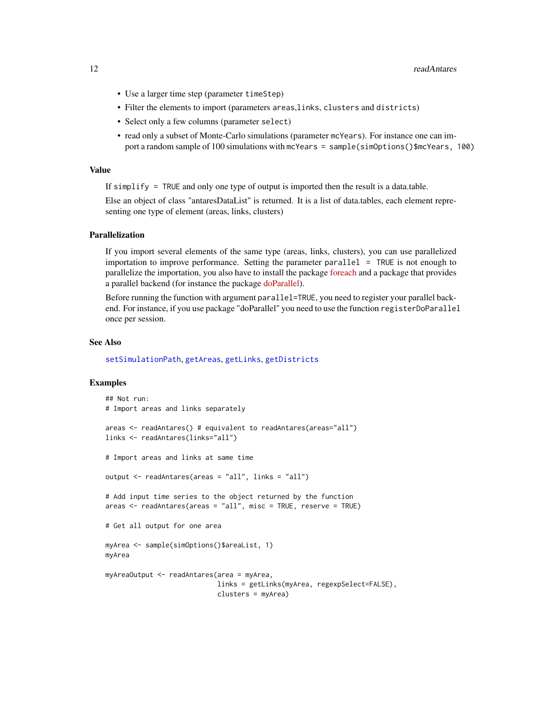- <span id="page-11-0"></span>• Use a larger time step (parameter timeStep)
- Filter the elements to import (parameters areas,links, clusters and districts)
- Select only a few columns (parameter select)
- read only a subset of Monte-Carlo simulations (parameter mcYears). For instance one can import a random sample of 100 simulations with mcYears = sample(simOptions()\$mcYears, 100)

#### Value

If simplify = TRUE and only one type of output is imported then the result is a data.table.

Else an object of class "antaresDataList" is returned. It is a list of data.tables, each element representing one type of element (areas, links, clusters)

#### Parallelization

If you import several elements of the same type (areas, links, clusters), you can use parallelized importation to improve performance. Setting the parameter parallel = TRUE is not enough to parallelize the importation, you also have to install the package [foreach](https://CRAN.R-project.org/package=foreach) and a package that provides a parallel backend (for instance the package [doParallel\)](https://CRAN.R-project.org/package=doParallel).

Before running the function with argument parallel=TRUE, you need to register your parallel backend. For instance, if you use package "doParallel" you need to use the function registerDoParallel once per session.

## See Also

[setSimulationPath](#page-21-1), [getAreas](#page-5-1), [getLinks](#page-7-1), [getDistricts](#page-5-2)

#### Examples

```
## Not run:
# Import areas and links separately
areas <- readAntares() # equivalent to readAntares(areas="all")
links <- readAntares(links="all")
# Import areas and links at same time
output <- readAntares(areas = "all", links = "all")
# Add input time series to the object returned by the function
areas \leq readAntares(areas = "all", misc = TRUE, reserve = TRUE)
# Get all output for one area
myArea <- sample(simOptions()$areaList, 1)
myArea
myAreaOutput <- readAntares(area = myArea,
                            links = getLinks(myArea, regexpSelect=FALSE),
                            clusters = myArea)
```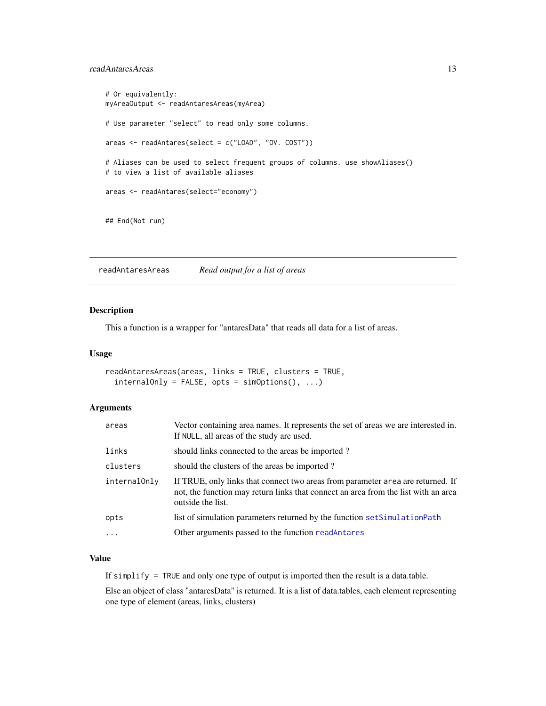## <span id="page-12-0"></span>readAntaresAreas 13

```
# Or equivalently:
myAreaOutput <- readAntaresAreas(myArea)
# Use parameter "select" to read only some columns.
areas <- readAntares(select = c("LOAD", "OV. COST"))
# Aliases can be used to select frequent groups of columns. use showAliases()
# to view a list of available aliases
areas <- readAntares(select="economy")
## End(Not run)
```
readAntaresAreas *Read output for a list of areas*

#### Description

This a function is a wrapper for "antaresData" that reads all data for a list of areas.

#### Usage

```
readAntaresAreas(areas, links = TRUE, clusters = TRUE,
  internallowly = FALSE, opts = simOptions(), ...)
```
## Arguments

| areas        | Vector containing area names. It represents the set of areas we are interested in.<br>If NULL, all areas of the study are used.                                                            |
|--------------|--------------------------------------------------------------------------------------------------------------------------------------------------------------------------------------------|
| links        | should links connected to the areas be imported?                                                                                                                                           |
| clusters     | should the clusters of the areas be imported?                                                                                                                                              |
| internalOnly | If TRUE, only links that connect two areas from parameter area are returned. If<br>not, the function may return links that connect an area from the list with an area<br>outside the list. |
| opts         | list of simulation parameters returned by the function setSimulationPath                                                                                                                   |
|              | Other arguments passed to the function readAntares                                                                                                                                         |
|              |                                                                                                                                                                                            |

## Value

If simplify = TRUE and only one type of output is imported then the result is a data.table.

Else an object of class "antaresData" is returned. It is a list of data.tables, each element representing one type of element (areas, links, clusters)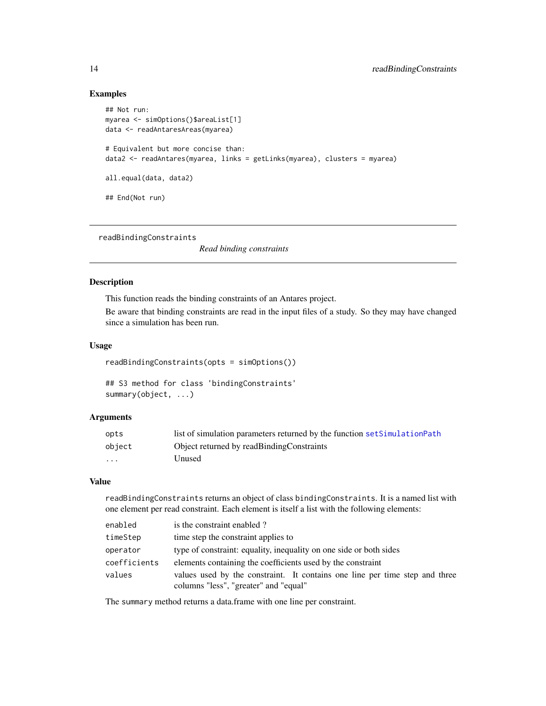#### Examples

```
## Not run:
myarea <- simOptions()$areaList[1]
data <- readAntaresAreas(myarea)
# Equivalent but more concise than:
data2 <- readAntares(myarea, links = getLinks(myarea), clusters = myarea)
all.equal(data, data2)
## End(Not run)
```
<span id="page-13-1"></span>readBindingConstraints

*Read binding constraints*

#### Description

This function reads the binding constraints of an Antares project.

Be aware that binding constraints are read in the input files of a study. So they may have changed since a simulation has been run.

#### Usage

```
readBindingConstraints(opts = simOptions())
```

```
## S3 method for class 'bindingConstraints'
summary(object, ...)
```
## Arguments

| opts    | list of simulation parameters returned by the function set Simulation Path |
|---------|----------------------------------------------------------------------------|
| object  | Object returned by readBindingConstraints                                  |
| $\cdot$ | Unused                                                                     |

#### Value

readBindingConstraints returns an object of class bindingConstraints. It is a named list with one element per read constraint. Each element is itself a list with the following elements:

| enabled      | is the constraint enabled?                                                                                           |
|--------------|----------------------------------------------------------------------------------------------------------------------|
| timeStep     | time step the constraint applies to                                                                                  |
| operator     | type of constraint: equality, inequality on one side or both sides                                                   |
| coefficients | elements containing the coefficients used by the constraint                                                          |
| values       | values used by the constraint. It contains one line per time step and three<br>columns "less", "greater" and "equal" |

The summary method returns a data.frame with one line per constraint.

<span id="page-13-0"></span>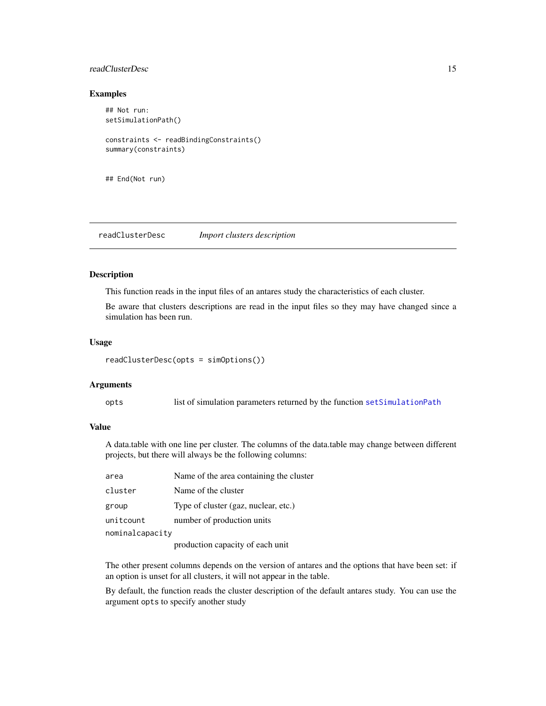## <span id="page-14-0"></span>readClusterDesc 15

## Examples

```
## Not run:
setSimulationPath()
constraints <- readBindingConstraints()
summary(constraints)
```

```
## End(Not run)
```
<span id="page-14-1"></span>readClusterDesc *Import clusters description*

## Description

This function reads in the input files of an antares study the characteristics of each cluster.

Be aware that clusters descriptions are read in the input files so they may have changed since a simulation has been run.

#### Usage

readClusterDesc(opts = simOptions())

#### Arguments

opts list of simulation parameters returned by the function [setSimulationPath](#page-21-1)

#### Value

A data.table with one line per cluster. The columns of the data.table may change between different projects, but there will always be the following columns:

| area            | Name of the area containing the cluster |
|-----------------|-----------------------------------------|
| cluster         | Name of the cluster                     |
| group           | Type of cluster (gaz, nuclear, etc.)    |
| unitcount       | number of production units              |
| nominalcapacity |                                         |
|                 | production capacity of each unit        |

The other present columns depends on the version of antares and the options that have been set: if an option is unset for all clusters, it will not appear in the table.

By default, the function reads the cluster description of the default antares study. You can use the argument opts to specify another study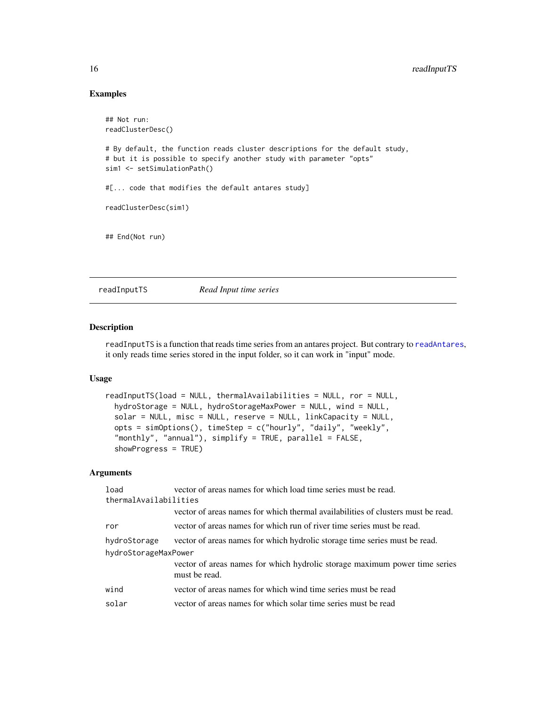## Examples

```
## Not run:
readClusterDesc()
# By default, the function reads cluster descriptions for the default study,
# but it is possible to specify another study with parameter "opts"
sim1 <- setSimulationPath()
#[... code that modifies the default antares study]
readClusterDesc(sim1)
## End(Not run)
```
readInputTS *Read Input time series*

## Description

readInputTS is a function that reads time series from an antares project. But contrary to [readAntares](#page-9-1), it only reads time series stored in the input folder, so it can work in "input" mode.

#### Usage

```
readInputTS(load = NULL, thermalAvailabilities = NULL, ror = NULL,
 hydroStorage = NULL, hydroStorageMaxPower = NULL, wind = NULL,
  solar = NULL, misc = NULL, reserve = NULL, linkCapacity = NULL,
  opts = simOptions(), timeStep = c("hourly", "daily", "weekly",
  "monthly", "annual"), simplify = TRUE, parallel = FALSE,
  showProgress = TRUE)
```
#### Arguments

| load                  | vector of areas names for which load time series must be read.                              |  |
|-----------------------|---------------------------------------------------------------------------------------------|--|
| thermalAvailabilities |                                                                                             |  |
|                       | vector of areas names for which thermal availabilities of clusters must be read.            |  |
| ror                   | vector of areas names for which run of river time series must be read.                      |  |
| hydroStorage          | vector of areas names for which hydrolic storage time series must be read.                  |  |
| hydroStorageMaxPower  |                                                                                             |  |
|                       | vector of areas names for which hydrolic storage maximum power time series<br>must be read. |  |
| wind                  | vector of areas names for which wind time series must be read                               |  |
| solar                 | vector of areas names for which solar time series must be read                              |  |

<span id="page-15-0"></span>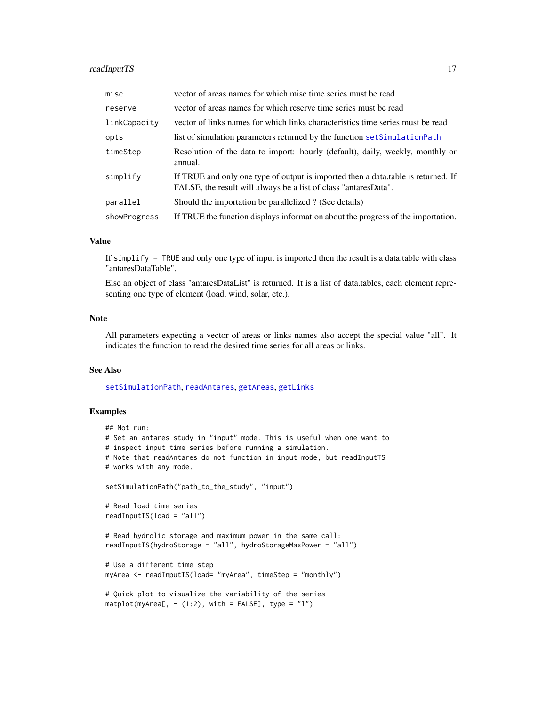## <span id="page-16-0"></span>readInputTS 17

| misc         | vector of areas names for which misc time series must be read                                                                                        |
|--------------|------------------------------------------------------------------------------------------------------------------------------------------------------|
| reserve      | vector of areas names for which reserve time series must be read                                                                                     |
| linkCapacity | vector of links names for which links characteristics time series must be read                                                                       |
| opts         | list of simulation parameters returned by the function set Simulation Path                                                                           |
| timeStep     | Resolution of the data to import: hourly (default), daily, weekly, monthly or<br>annual.                                                             |
| simplify     | If TRUE and only one type of output is imported then a data table is returned. If<br>FALSE, the result will always be a list of class "antaresData". |
| parallel     | Should the importation be parallelized ? (See details)                                                                                               |
| showProgress | If TRUE the function displays information about the progress of the importation.                                                                     |

#### Value

If simplify = TRUE and only one type of input is imported then the result is a data.table with class "antaresDataTable".

Else an object of class "antaresDataList" is returned. It is a list of data.tables, each element representing one type of element (load, wind, solar, etc.).

## Note

All parameters expecting a vector of areas or links names also accept the special value "all". It indicates the function to read the desired time series for all areas or links.

#### See Also

[setSimulationPath](#page-21-1), [readAntares](#page-9-1), [getAreas](#page-5-1), [getLinks](#page-7-1)

#### Examples

```
## Not run:
# Set an antares study in "input" mode. This is useful when one want to
# inspect input time series before running a simulation.
# Note that readAntares do not function in input mode, but readInputTS
# works with any mode.
setSimulationPath("path_to_the_study", "input")
# Read load time series
readInputTS(load = "all")
# Read hydrolic storage and maximum power in the same call:
readInputTS(hydroStorage = "all", hydroStorageMaxPower = "all")
# Use a different time step
myArea <- readInputTS(load= "myArea", timeStep = "monthly")
# Quick plot to visualize the variability of the series
matplot(myArea[, - (1:2), with = FALSE], type = "l")
```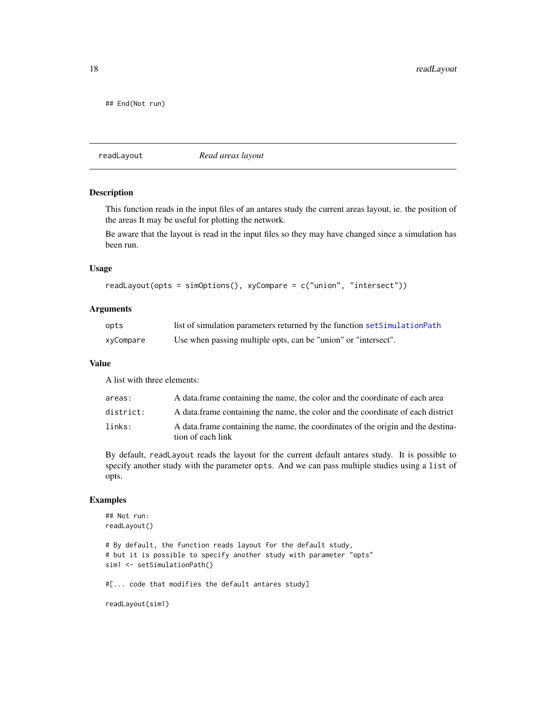<span id="page-17-0"></span>18 readLayout

## End(Not run)

<span id="page-17-1"></span>readLayout *Read areas layout*

#### Description

This function reads in the input files of an antares study the current areas layout, ie. the position of the areas It may be useful for plotting the network.

Be aware that the layout is read in the input files so they may have changed since a simulation has been run.

#### Usage

```
readLayout(opts = simOptions(), xyCompare = c("union", "intersect"))
```
## Arguments

| opts      | list of simulation parameters returned by the function set Simulation Path |
|-----------|----------------------------------------------------------------------------|
| xyCompare | Use when passing multiple opts, can be "union" or "intersect".             |

## Value

A list with three elements:

| areas:    | A data frame containing the name, the color and the coordinate of each area                           |
|-----------|-------------------------------------------------------------------------------------------------------|
| district: | A data frame containing the name, the color and the coordinate of each district                       |
| links:    | A data frame containing the name, the coordinates of the origin and the destina-<br>tion of each link |

By default, readLayout reads the layout for the current default antares study. It is possible to specify another study with the parameter opts. And we can pass multiple studies using a list of opts.

## Examples

```
## Not run:
readLayout()
# By default, the function reads layout for the default study,
# but it is possible to specify another study with parameter "opts"
sim1 <- setSimulationPath()
#[... code that modifies the default antares study]
readLayout(sim1)
```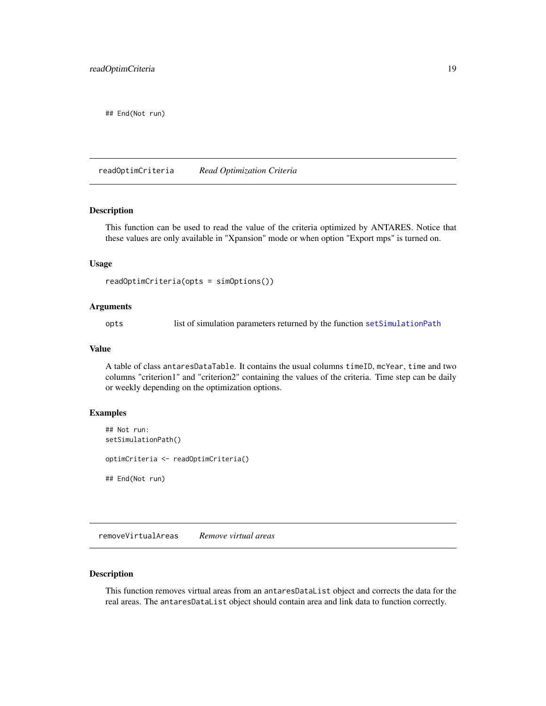<span id="page-18-0"></span>## End(Not run)

readOptimCriteria *Read Optimization Criteria*

## Description

This function can be used to read the value of the criteria optimized by ANTARES. Notice that these values are only available in "Xpansion" mode or when option "Export mps" is turned on.

## Usage

```
readOptimCriteria(opts = simOptions())
```
#### Arguments

opts list of simulation parameters returned by the function [setSimulationPath](#page-21-1)

#### Value

A table of class antaresDataTable. It contains the usual columns timeID, mcYear, time and two columns "criterion1" and "criterion2" containing the values of the criteria. Time step can be daily or weekly depending on the optimization options.

## Examples

## Not run: setSimulationPath() optimCriteria <- readOptimCriteria() ## End(Not run)

<span id="page-18-1"></span>removeVirtualAreas *Remove virtual areas*

## Description

This function removes virtual areas from an antaresDataList object and corrects the data for the real areas. The antaresDataList object should contain area and link data to function correctly.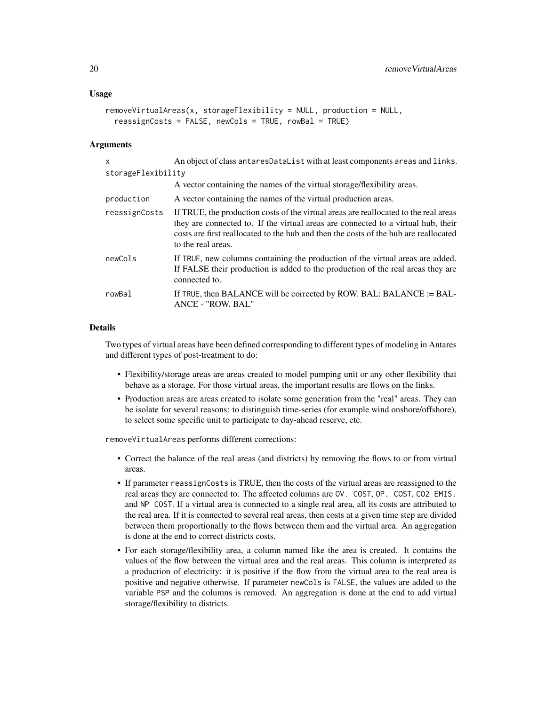```
removeVirtualAreas(x, storageFlexibility = NULL, production = NULL,
 reassignCosts = FALSE, newCols = TRUE, rowBal = TRUE)
```
#### **Arguments**

| x                  | An object of class antares DataList with at least components areas and links.                                                                                                                                                                                                           |
|--------------------|-----------------------------------------------------------------------------------------------------------------------------------------------------------------------------------------------------------------------------------------------------------------------------------------|
| storageFlexibility |                                                                                                                                                                                                                                                                                         |
|                    | A vector containing the names of the virtual storage/flexibility areas.                                                                                                                                                                                                                 |
| production         | A vector containing the names of the virtual production areas.                                                                                                                                                                                                                          |
| reassignCosts      | If TRUE, the production costs of the virtual areas are reallocated to the real areas<br>they are connected to. If the virtual areas are connected to a virtual hub, their<br>costs are first reallocated to the hub and then the costs of the hub are reallocated<br>to the real areas. |
| newCols            | If TRUE, new columns containing the production of the virtual areas are added.<br>If FALSE their production is added to the production of the real areas they are<br>connected to.                                                                                                      |
| rowBal             | If TRUE, then BALANCE will be corrected by ROW. BAL: BALANCE := BAL-<br>ANCE - "ROW. BAL"                                                                                                                                                                                               |

## Details

Two types of virtual areas have been defined corresponding to different types of modeling in Antares and different types of post-treatment to do:

- Flexibility/storage areas are areas created to model pumping unit or any other flexibility that behave as a storage. For those virtual areas, the important results are flows on the links.
- Production areas are areas created to isolate some generation from the "real" areas. They can be isolate for several reasons: to distinguish time-series (for example wind onshore/offshore), to select some specific unit to participate to day-ahead reserve, etc.

removeVirtualAreas performs different corrections:

- Correct the balance of the real areas (and districts) by removing the flows to or from virtual areas.
- If parameter reassignCosts is TRUE, then the costs of the virtual areas are reassigned to the real areas they are connected to. The affected columns are OV. COST, OP. COST, CO2 EMIS. and NP COST. If a virtual area is connected to a single real area, all its costs are attributed to the real area. If it is connected to several real areas, then costs at a given time step are divided between them proportionally to the flows between them and the virtual area. An aggregation is done at the end to correct districts costs.
- For each storage/flexibility area, a column named like the area is created. It contains the values of the flow between the virtual area and the real areas. This column is interpreted as a production of electricity: it is positive if the flow from the virtual area to the real area is positive and negative otherwise. If parameter newCols is FALSE, the values are added to the variable PSP and the columns is removed. An aggregation is done at the end to add virtual storage/flexibility to districts.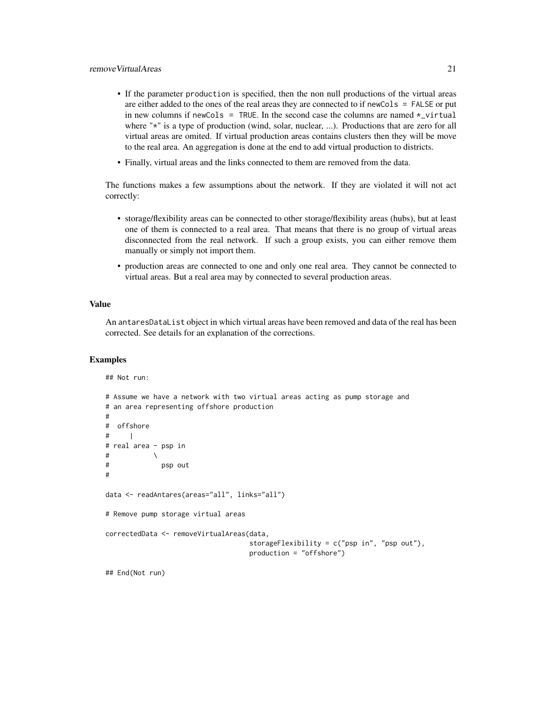- If the parameter production is specified, then the non null productions of the virtual areas are either added to the ones of the real areas they are connected to if newCols = FALSE or put in new columns if newCols = TRUE. In the second case the columns are named  $\star$ \_virtual where " $*$ " is a type of production (wind, solar, nuclear, ...). Productions that are zero for all virtual areas are omited. If virtual production areas contains clusters then they will be move to the real area. An aggregation is done at the end to add virtual production to districts.
- Finally, virtual areas and the links connected to them are removed from the data.

The functions makes a few assumptions about the network. If they are violated it will not act correctly:

- storage/flexibility areas can be connected to other storage/flexibility areas (hubs), but at least one of them is connected to a real area. That means that there is no group of virtual areas disconnected from the real network. If such a group exists, you can either remove them manually or simply not import them.
- production areas are connected to one and only one real area. They cannot be connected to virtual areas. But a real area may by connected to several production areas.

## Value

An antaresDataList object in which virtual areas have been removed and data of the real has been corrected. See details for an explanation of the corrections.

#### Examples

## Not run:

```
# Assume we have a network with two virtual areas acting as pump storage and
# an area representing offshore production
#
# offshore
# |
# real area - psp in
\# \qquad \qquad \setminus# psp out
#
data <- readAntares(areas="all", links="all")
# Remove pump storage virtual areas
correctedData <- removeVirtualAreas(data,
                                    storageFlexibility = c("psp in", "psp out"),
                                    production = "offshore")
## End(Not run)
```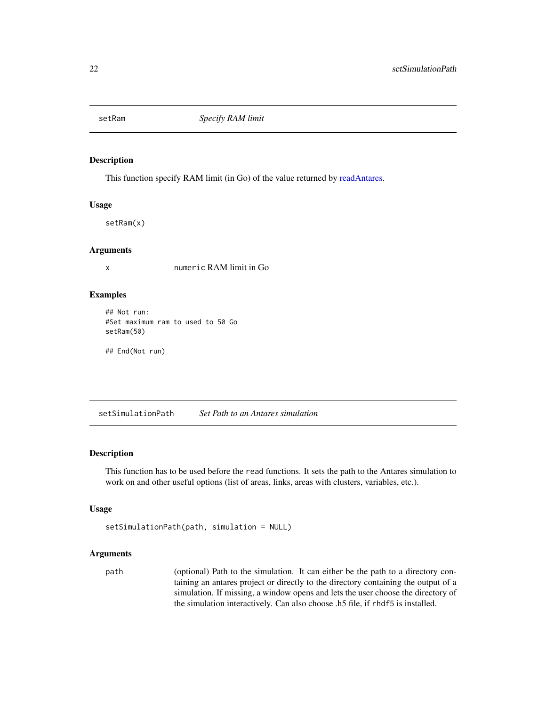<span id="page-21-0"></span>

This function specify RAM limit (in Go) of the value returned by [readAntares.](#page-9-1)

## Usage

setRam(x)

## Arguments

x numeric RAM limit in Go

## Examples

## Not run: #Set maximum ram to used to 50 Go setRam(50)

## End(Not run)

<span id="page-21-1"></span>setSimulationPath *Set Path to an Antares simulation*

## Description

This function has to be used before the read functions. It sets the path to the Antares simulation to work on and other useful options (list of areas, links, areas with clusters, variables, etc.).

## Usage

```
setSimulationPath(path, simulation = NULL)
```
## Arguments

path (optional) Path to the simulation. It can either be the path to a directory containing an antares project or directly to the directory containing the output of a simulation. If missing, a window opens and lets the user choose the directory of the simulation interactively. Can also choose .h5 file, if rhdf5 is installed.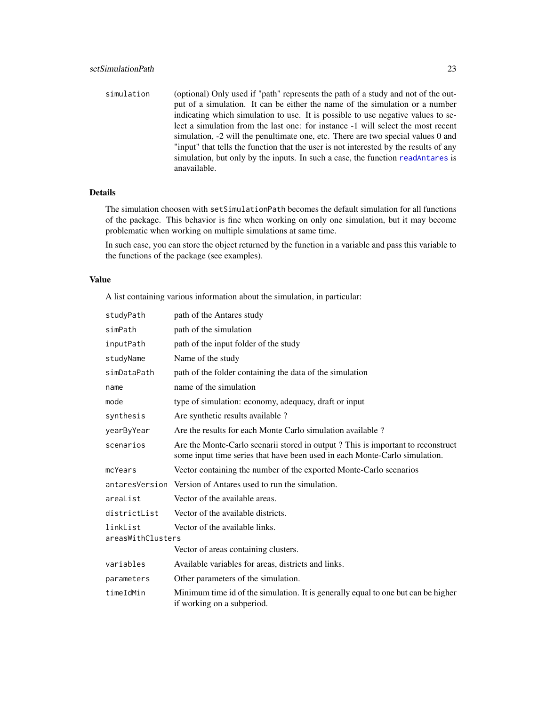simulation (optional) Only used if "path" represents the path of a study and not of the output of a simulation. It can be either the name of the simulation or a number indicating which simulation to use. It is possible to use negative values to select a simulation from the last one: for instance -1 will select the most recent simulation, -2 will the penultimate one, etc. There are two special values 0 and "input" that tells the function that the user is not interested by the results of any simulation, but only by the inputs. In such a case, the function [readAntares](#page-9-1) is anavailable.

## Details

The simulation choosen with setSimulationPath becomes the default simulation for all functions of the package. This behavior is fine when working on only one simulation, but it may become problematic when working on multiple simulations at same time.

In such case, you can store the object returned by the function in a variable and pass this variable to the functions of the package (see examples).

#### Value

A list containing various information about the simulation, in particular:

| studyPath                                                       | path of the Antares study                                                                                                                                     |
|-----------------------------------------------------------------|---------------------------------------------------------------------------------------------------------------------------------------------------------------|
| simPath                                                         | path of the simulation                                                                                                                                        |
| inputPath                                                       | path of the input folder of the study                                                                                                                         |
| studyName                                                       | Name of the study                                                                                                                                             |
| simDataPath                                                     | path of the folder containing the data of the simulation                                                                                                      |
| name                                                            | name of the simulation                                                                                                                                        |
| mode                                                            | type of simulation: economy, adequacy, draft or input                                                                                                         |
| synthesis                                                       | Are synthetic results available?                                                                                                                              |
| yearByYear                                                      | Are the results for each Monte Carlo simulation available?                                                                                                    |
| scenarios                                                       | Are the Monte-Carlo scenarii stored in output? This is important to reconstruct<br>some input time series that have been used in each Monte-Carlo simulation. |
| mcYears                                                         | Vector containing the number of the exported Monte-Carlo scenarios                                                                                            |
|                                                                 | antares Version Version of Antares used to run the simulation.                                                                                                |
| areaList                                                        | Vector of the available areas.                                                                                                                                |
| districtList                                                    | Vector of the available districts.                                                                                                                            |
| linkList<br>Vector of the available links.<br>areasWithClusters |                                                                                                                                                               |
|                                                                 | Vector of areas containing clusters.                                                                                                                          |
| variables                                                       | Available variables for areas, districts and links.                                                                                                           |
| parameters                                                      | Other parameters of the simulation.                                                                                                                           |
| timeIdMin                                                       | Minimum time id of the simulation. It is generally equal to one but can be higher<br>if working on a subperiod.                                               |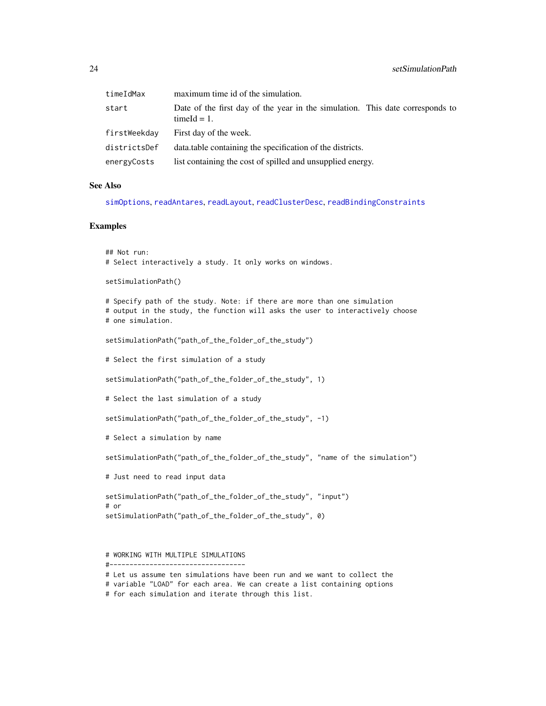<span id="page-23-0"></span>

| timeIdMax    | maximum time id of the simulation.                                                              |
|--------------|-------------------------------------------------------------------------------------------------|
| start        | Date of the first day of the year in the simulation. This date corresponds to<br>$timeId = 1$ . |
| firstWeekdav | First day of the week.                                                                          |
| districtsDef | data table containing the specification of the districts.                                       |
| energyCosts  | list containing the cost of spilled and unsupplied energy.                                      |

#### See Also

[simOptions](#page-25-1), [readAntares](#page-9-1), [readLayout](#page-17-1), [readClusterDesc](#page-14-1), [readBindingConstraints](#page-13-1)

#### Examples

```
## Not run:
# Select interactively a study. It only works on windows.
```
setSimulationPath()

# Specify path of the study. Note: if there are more than one simulation # output in the study, the function will asks the user to interactively choose # one simulation.

```
setSimulationPath("path_of_the_folder_of_the_study")
```
# Select the first simulation of a study

setSimulationPath("path\_of\_the\_folder\_of\_the\_study", 1)

# Select the last simulation of a study

setSimulationPath("path\_of\_the\_folder\_of\_the\_study", -1)

```
# Select a simulation by name
```
setSimulationPath("path\_of\_the\_folder\_of\_the\_study", "name of the simulation")

# Just need to read input data

```
setSimulationPath("path_of_the_folder_of_the_study", "input")
# or
setSimulationPath("path_of_the_folder_of_the_study", 0)
```

```
# WORKING WITH MULTIPLE SIMULATIONS
```
<sup>#----------------------------------</sup>

<sup>#</sup> Let us assume ten simulations have been run and we want to collect the

<sup>#</sup> variable "LOAD" for each area. We can create a list containing options

<sup>#</sup> for each simulation and iterate through this list.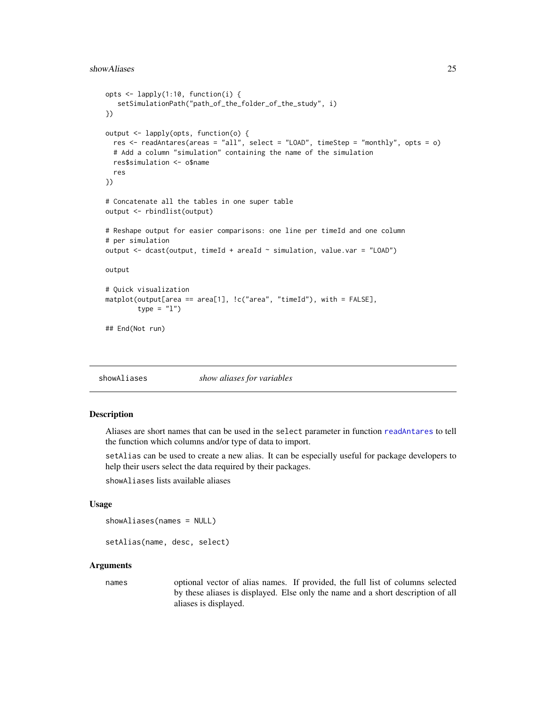#### <span id="page-24-0"></span>showAliases 25

```
opts <- lapply(1:10, function(i) {
   setSimulationPath("path_of_the_folder_of_the_study", i)
})
output <- lapply(opts, function(o) {
 res <- readAntares(areas = "all", select = "LOAD", timeStep = "monthly", opts = o)
 # Add a column "simulation" containing the name of the simulation
 res$simulation <- o$name
 res
})
# Concatenate all the tables in one super table
output <- rbindlist(output)
# Reshape output for easier comparisons: one line per timeId and one column
# per simulation
output <- dcast(output, timeId + areaId ~ simulation, value.var = "LOAD")
output
# Quick visualization
matplot(output[area == area[1], !c("area", "timeId"), with = FALSE],
        type = "1")
## End(Not run)
```
showAliases *show aliases for variables*

#### Description

Aliases are short names that can be used in the select parameter in function [readAntares](#page-9-1) to tell the function which columns and/or type of data to import.

setAlias can be used to create a new alias. It can be especially useful for package developers to help their users select the data required by their packages.

showAliases lists available aliases

#### Usage

showAliases(names = NULL)

setAlias(name, desc, select)

#### Arguments

names optional vector of alias names. If provided, the full list of columns selected by these aliases is displayed. Else only the name and a short description of all aliases is displayed.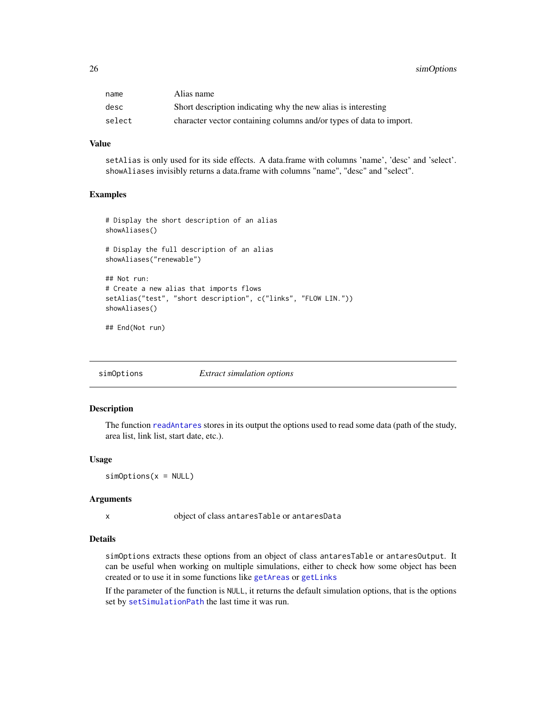<span id="page-25-0"></span>26 simOptions

| name   | Alias name                                                          |
|--------|---------------------------------------------------------------------|
| desc   | Short description indicating why the new alias is interesting       |
| select | character vector containing columns and/or types of data to import. |

#### Value

setAlias is only used for its side effects. A data.frame with columns 'name', 'desc' and 'select'. showAliases invisibly returns a data.frame with columns "name", "desc" and "select".

## Examples

```
# Display the short description of an alias
showAliases()
# Display the full description of an alias
showAliases("renewable")
## Not run:
# Create a new alias that imports flows
setAlias("test", "short description", c("links", "FLOW LIN."))
showAliases()
```
## End(Not run)

<span id="page-25-1"></span>simOptions *Extract simulation options*

#### Description

The function [readAntares](#page-9-1) stores in its output the options used to read some data (path of the study, area list, link list, start date, etc.).

#### Usage

 $simOrions(x = NULL)$ 

## Arguments

x object of class antaresTable or antaresData

#### Details

simOptions extracts these options from an object of class antaresTable or antaresOutput. It can be useful when working on multiple simulations, either to check how some object has been created or to use it in some functions like [getAreas](#page-5-1) or [getLinks](#page-7-1)

If the parameter of the function is NULL, it returns the default simulation options, that is the options set by [setSimulationPath](#page-21-1) the last time it was run.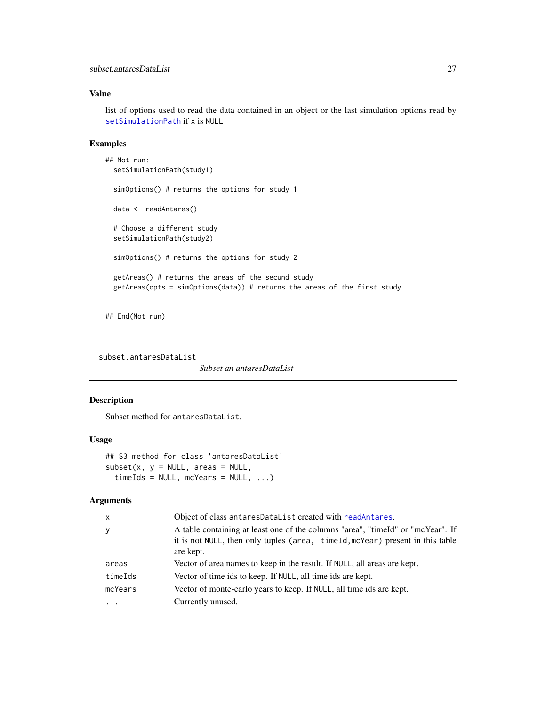## <span id="page-26-0"></span>Value

list of options used to read the data contained in an object or the last simulation options read by [setSimulationPath](#page-21-1) if x is NULL

## Examples

```
## Not run:
 setSimulationPath(study1)
 simOptions() # returns the options for study 1
 data <- readAntares()
 # Choose a different study
 setSimulationPath(study2)
 simOptions() # returns the options for study 2
 getAreas() # returns the areas of the secund study
 getAreas(opts = simOptions(data)) # returns the areas of the first study
```
## End(Not run)

subset.antaresDataList

*Subset an antaresDataList*

## Description

Subset method for antaresDataList.

#### Usage

```
## S3 method for class 'antaresDataList'
subset(x, y = NULL, areas = NULL,timeIds = NULL, mcYears = NULL, ...)
```
## Arguments

| $\mathsf{x}$ | Object of class antaresDataList created with readAntares.                                                                                                                     |
|--------------|-------------------------------------------------------------------------------------------------------------------------------------------------------------------------------|
| y            | A table containing at least one of the columns "area", "timeId" or "mcYear". If<br>it is not NULL, then only tuples (area, timeId, mcYear) present in this table<br>are kept. |
| areas        | Vector of area names to keep in the result. If NULL, all areas are kept.                                                                                                      |
| timeIds      | Vector of time ids to keep. If NULL, all time ids are kept.                                                                                                                   |
| mcYears      | Vector of monte-carlo years to keep. If NULL, all time ids are kept.                                                                                                          |
| $\cdots$     | Currently unused.                                                                                                                                                             |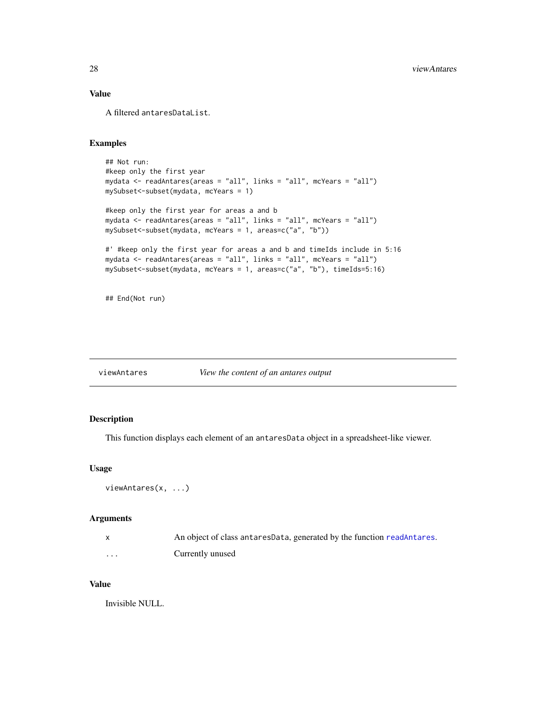## <span id="page-27-0"></span>Value

A filtered antaresDataList.

#### Examples

```
## Not run:
#keep only the first year
mydata <- readAntares(areas = "all", links = "all", mcYears = "all")
mySubset<-subset(mydata, mcYears = 1)
#keep only the first year for areas a and b
mydata <- readAntares(areas = "all", links = "all", mcYears = "all")
mySubset<-subset(mydata, mcYears = 1, areas=c("a", "b"))
#' #keep only the first year for areas a and b and timeIds include in 5:16
mydata <- readAntares(areas = "all", links = "all", mcYears = "all")
mySubset<-subset(mydata, mcYears = 1, areas=c("a", "b"), timeIds=5:16)
```
## End(Not run)

viewAntares *View the content of an antares output*

## Description

This function displays each element of an antaresData object in a spreadsheet-like viewer.

#### Usage

```
viewAntares(x, ...)
```
#### Arguments

|   | An object of class antares Data, generated by the function readantares. |
|---|-------------------------------------------------------------------------|
| . | Currently unused                                                        |

## Value

Invisible NULL.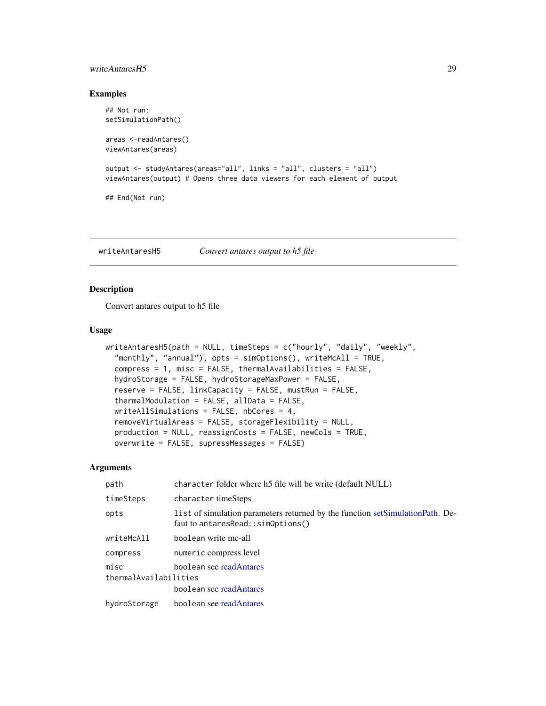## <span id="page-28-0"></span>writeAntaresH5 29

## Examples

```
## Not run:
setSimulationPath()
areas <-readAntares()
viewAntares(areas)
output <- studyAntares(areas="all", links = "all", clusters = "all")
viewAntares(output) # Opens three data viewers for each element of output
## End(Not run)
```
writeAntaresH5 *Convert antares output to h5 file*

## Description

Convert antares output to h5 file

#### Usage

```
writeAntaresH5(path = NULL, timeSteps = c("hourly", "daily", "weekly",
  "monthly", "annual"), opts = simOptions(), writeMcAll = TRUE,
  compress = 1, misc = FALSE, thermalAvailabilities = FALSE,
  hydroStorage = FALSE, hydroStorageMaxPower = FALSE,
  reserve = FALSE, linkCapacity = FALSE, mustRun = FALSE,
  thermalModulation = FALSE, allData = FALSE,
 writeAllSimulations = FALSE, nbCores = 4,
  removeVirtualAreas = FALSE, storageFlexibility = NULL,
 production = NULL, reassignCosts = FALSE, newCols = TRUE,
 overwrite = FALSE, supressMessages = FALSE)
```
#### Arguments

| path                                                                                | character folder where h5 file will be write (default NULL)                                                           |
|-------------------------------------------------------------------------------------|-----------------------------------------------------------------------------------------------------------------------|
| timeSteps                                                                           | character timeSteps                                                                                                   |
| opts                                                                                | l ist of simulation parameters returned by the function set Simulation Path. De-<br>faut to antaresRead::simOptions() |
| writeMcAll                                                                          | boolean write mc-all                                                                                                  |
| compress                                                                            | numeric compress level                                                                                                |
| boolean see readAntares<br>misc<br>thermalAvailabilities<br>boolean see readAntares |                                                                                                                       |
| hydroStorage                                                                        | boolean see readAntares                                                                                               |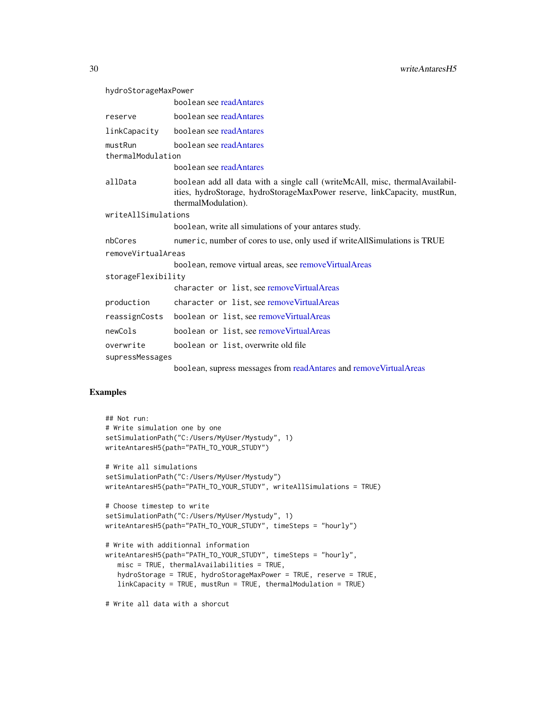<span id="page-29-0"></span>hydroStorageMaxPower

|                              | boolean see readAntares                                                                                                                                                          |
|------------------------------|----------------------------------------------------------------------------------------------------------------------------------------------------------------------------------|
| reserve                      | boolean see readAntares                                                                                                                                                          |
| linkCapacity                 | boolean see readAntares                                                                                                                                                          |
| mustRun<br>thermalModulation | boolean see readAntares                                                                                                                                                          |
|                              | boolean see readAntares                                                                                                                                                          |
| allData                      | boolean add all data with a single call (writeMcAll, misc, thermalAvailabil-<br>ities, hydroStorage, hydroStorageMaxPower reserve, linkCapacity, mustRun,<br>thermalModulation). |
| writeAllSimulations          |                                                                                                                                                                                  |
|                              | boolean, write all simulations of your antares study.                                                                                                                            |
| nbCores                      | numeric, number of cores to use, only used if write All Simulations is TRUE                                                                                                      |
| removeVirtualAreas           |                                                                                                                                                                                  |
|                              | boolean, remove virtual areas, see remove Virtual Areas                                                                                                                          |
| storageFlexibility           |                                                                                                                                                                                  |
|                              | character or list, see remove Virtual Areas                                                                                                                                      |
| production                   | character or list, see remove Virtual Areas                                                                                                                                      |
| reassignCosts                | boolean or list, see remove Virtual Areas                                                                                                                                        |
| newCols                      | boolean or list, see remove Virtual Areas                                                                                                                                        |
| overwrite                    | boolean or list, overwrite old file                                                                                                                                              |
| supressMessages              |                                                                                                                                                                                  |
|                              | boolean, supress messages from readAntares and removeVirtualAreas                                                                                                                |

## Examples

```
## Not run:
# Write simulation one by one
setSimulationPath("C:/Users/MyUser/Mystudy", 1)
writeAntaresH5(path="PATH_TO_YOUR_STUDY")
# Write all simulations
setSimulationPath("C:/Users/MyUser/Mystudy")
writeAntaresH5(path="PATH_TO_YOUR_STUDY", writeAllSimulations = TRUE)
# Choose timestep to write
setSimulationPath("C:/Users/MyUser/Mystudy", 1)
writeAntaresH5(path="PATH_TO_YOUR_STUDY", timeSteps = "hourly")
# Write with additionnal information
writeAntaresH5(path="PATH_TO_YOUR_STUDY", timeSteps = "hourly",
   misc = TRUE, thermalAvailabilities = TRUE,
   hydroStorage = TRUE, hydroStorageMaxPower = TRUE, reserve = TRUE,
   linkCapacity = TRUE, mustRun = TRUE, thermalModulation = TRUE)
```
# Write all data with a shorcut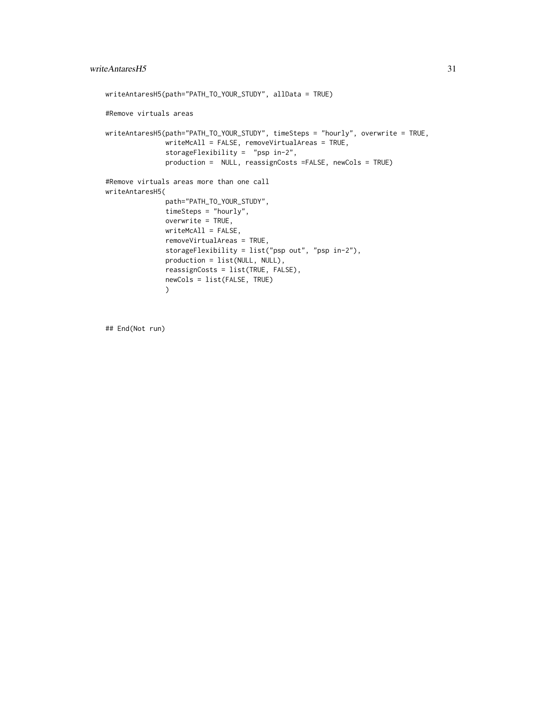```
writeAntaresH5(path="PATH_TO_YOUR_STUDY", allData = TRUE)
#Remove virtuals areas
writeAntaresH5(path="PATH_TO_YOUR_STUDY", timeSteps = "hourly", overwrite = TRUE,
              writeMcAll = FALSE, removeVirtualAreas = TRUE,
               storageFlexibility = "psp in-2",
              production = NULL, reassignCosts =FALSE, newCols = TRUE)
#Remove virtuals areas more than one call
writeAntaresH5(
              path="PATH_TO_YOUR_STUDY",
              timeSteps = "hourly",
              overwrite = TRUE,
              writeMcAll = FALSE,
              removeVirtualAreas = TRUE,
              storageFlexibility = list("psp out", "psp in-2"),
              production = list(NULL, NULL),
              reassignCosts = list(TRUE, FALSE),
              newCols = list(FALSE, TRUE)
              )
```
## End(Not run)